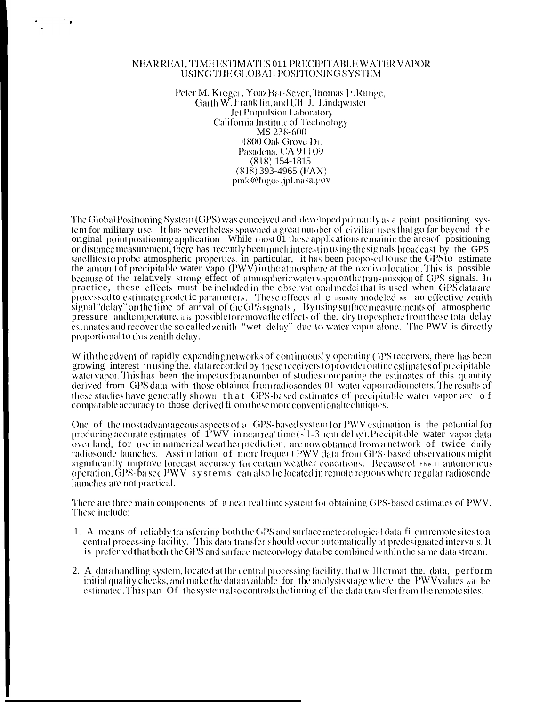## NEAR REAL, TIME ESTIMATES 011 PRECIPITABLE WATER VAPOR USING THE GLOBAL POSITIONING SYSTEM

Peter M. Kroger, Yoaz Bat-Sever, Thomas J? Runge, Garth W. Frank lin, and Ulf J. Lindqwister Jet Propulsion Laboratory California Institute of Technology MS 238-600 4800 Oak Grove Dr. Pasadena, CA 91109  $(818)$  154-1815  $(818)$  393-4965 (FAX) pmk@logos.jpl.nasa.gov

The Global Positioning System (GPS) was conceived and developed primarily as a point positioning system for military use. It has nevertheless spawned a great number of civilian uses that go far beyond the original point positioning application. While most 01 these applications remain in the area of positioning or distance measurement, there has recently been much interest in using the signals broadcast by the GPS satellites to probe atmospheric properties, in particular, it has been proposed to use the GPS to estimate<br>the amount of precipitable water vapor (PWV) in the atmosphere at the receiver location. This is possible because of the relatively strong effect of atmospheric water vaporonthe transmission of GPS signals. In practice, these effects must be included in the observational model that is used when GPS data are processed to estimate geodetic parameters. These effects all elusially modeled as an effective zenith signal "delay" on the time of arrival of the GPS signals, By using surface measurements of atmospheric pressure and temperature,  $\pi$  is possible to remove the effects of the. dry troposphere from these total delay estimates and recover the so called zenith "wet delay" due to water vapor alone. The PWV is directly proportional to this zenith delay.

W ith the advent of rapidly expanding networks of continuously operating (iPS receivers, there has been growing interest inusing the. data recorded by these receivers to provide routine estimates of precipitable watervapor. This has been the impetus for a number of studies comparing the estimates of this quantity derived from GPS data with those obtained from radiosondes 01 water vapor adiometers. The results of these studies have generally shown that GPS-based estimates of precipitable water vapor are of comparable accuracy to those derived fi om these more conventional techniques.

One of the most advantageous aspects of a GPS-based system for PWV estimation is the potential for producing accurate estimates of  $1'WV$  innear real time  $(\sim 1-3$  hour delay). Precipitable water vapor data over land, for use in numerical weat her prediction, are now obtained from a network of twice daily radiosonde launches. Assimilation of more frequent PWV data from GPS-based observations might significantly improve forecast accuracy for certain weather conditions. Because of the in autonomous operation, GPS-ba sed PWV systems can also be located in remote regions where regular radiosonde launches are not practical.

There are three main components of a near real time system for obtaining GPS-based estimates of PWV. These include:

- 1. A means of reliably transferring both the GPS and surface meteorological data fi omremotesites to a central processing facility. This data transfer should occur automatically at predesignated intervals. It is preferred that both the GPS and surface meteorology data be combined within the same data stream.
- 2. A data handling system, located at the central processing facility, that will format the. data, perform initial quality checks, and make the data available for the analysis stage where the PWV values win be estimated. This part Of the system also controls the timing of the data transfer from the remote sites.